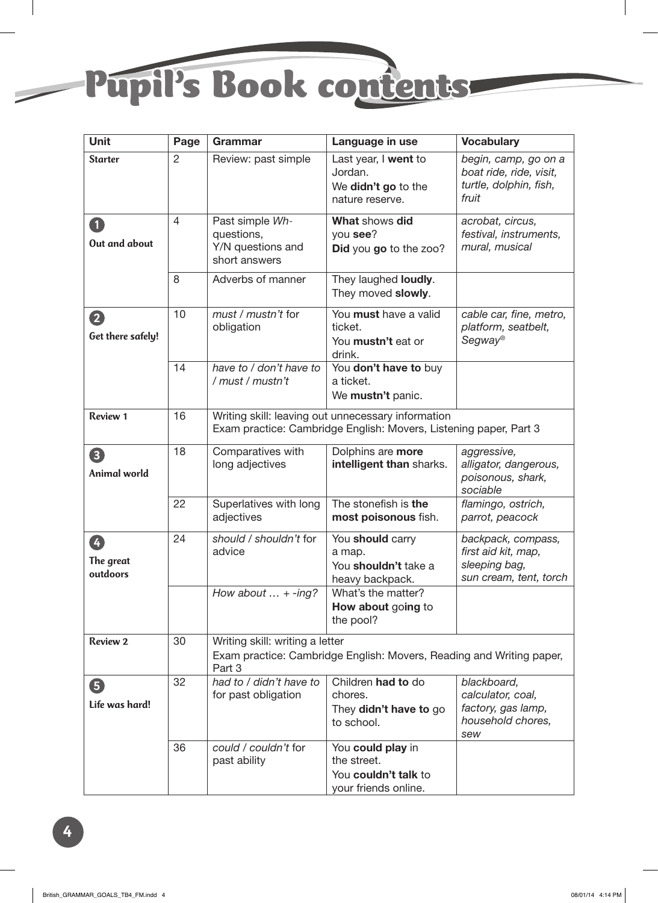

| <b>Unit</b>                       | Page           | Grammar                                                                                                                 | Language in use                                                                  | <b>Vocabulary</b>                                                                    |  |  |
|-----------------------------------|----------------|-------------------------------------------------------------------------------------------------------------------------|----------------------------------------------------------------------------------|--------------------------------------------------------------------------------------|--|--|
| <b>Starter</b>                    | $\overline{2}$ | Review: past simple                                                                                                     | Last year, I went to<br>Jordan.<br>We didn't go to the<br>nature reserve.        | begin, camp, go on a<br>boat ride, ride, visit,<br>turtle, dolphin, fish,<br>fruit   |  |  |
| 0<br>Out and about                | $\overline{4}$ | Past simple Wh-<br>questions,<br>Y/N questions and<br>short answers                                                     | What shows did<br>you see?<br>Did you go to the zoo?                             | acrobat, circus,<br>festival, instruments,<br>mural, musical                         |  |  |
|                                   | 8              | Adverbs of manner                                                                                                       | They laughed loudly.<br>They moved slowly.                                       |                                                                                      |  |  |
| 2<br>Get there safely!            | 10             | must / mustn't for<br>obligation                                                                                        | You must have a valid<br>ticket.<br>You mustn't eat or<br>drink.                 | cable car, fine, metro,<br>platform, seatbelt,<br>Segway®                            |  |  |
|                                   | 14             | have to / don't have to<br>/ must / mustn't                                                                             | You don't have to buy<br>a ticket.<br>We mustn't panic.                          |                                                                                      |  |  |
| <b>Review 1</b>                   | 16             | Writing skill: leaving out unnecessary information<br>Exam practice: Cambridge English: Movers, Listening paper, Part 3 |                                                                                  |                                                                                      |  |  |
| 8<br>Animal world                 | 18             | Comparatives with<br>long adjectives                                                                                    | Dolphins are more<br>intelligent than sharks.                                    | aggressive,<br>alligator, dangerous,<br>poisonous, shark,<br>sociable                |  |  |
|                                   | 22             | Superlatives with long<br>adjectives                                                                                    | The stonefish is the<br>most poisonous fish.                                     | flamingo, ostrich,<br>parrot, peacock                                                |  |  |
| <b>A</b><br>The great<br>outdoors | 24             | should / shouldn't for<br>advice                                                                                        | You should carry<br>a map.<br>You shouldn't take a<br>heavy backpack.            | backpack, compass,<br>first aid kit, map,<br>sleeping bag,<br>sun cream, tent, torch |  |  |
|                                   |                | How about $ + -ing$ ?                                                                                                   | What's the matter?<br>How about going to<br>the pool?                            |                                                                                      |  |  |
| <b>Review 2</b>                   | 30             | Writing skill: writing a letter<br>Exam practice: Cambridge English: Movers, Reading and Writing paper,<br>Part 3       |                                                                                  |                                                                                      |  |  |
| 6<br>Life was hard!               | 32             | had to / didn't have to<br>for past obligation                                                                          | Children had to do<br>chores.<br>They didn't have to go<br>to school.            | blackboard,<br>calculator, coal,<br>factory, gas lamp,<br>household chores,<br>sew   |  |  |
|                                   | 36             | could / couldn't for<br>past ability                                                                                    | You could play in<br>the street.<br>You couldn't talk to<br>your friends online. |                                                                                      |  |  |